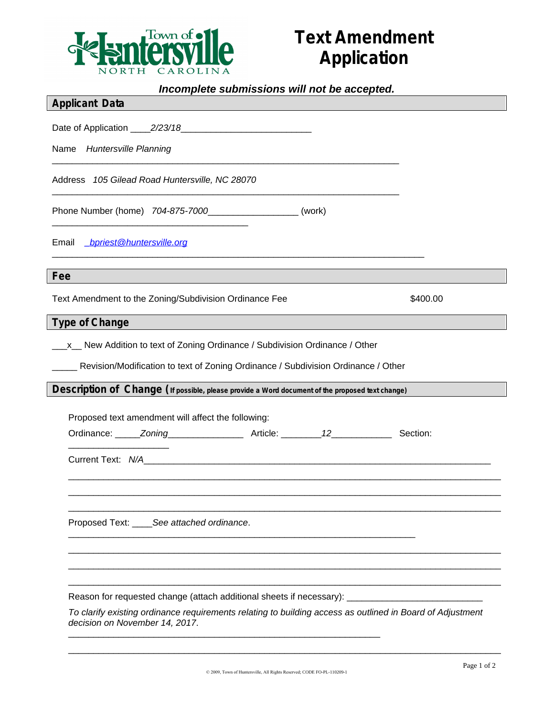

## **Text Amendment Application**

## *Incomplete submissions will not be accepted.*

|  | <b>Applicant Data</b> |  |
|--|-----------------------|--|
|--|-----------------------|--|

Date of Application \_\_\_\_*2/23/18*\_\_\_\_\_\_\_\_\_\_\_\_\_\_\_\_\_\_\_\_\_\_\_\_\_\_

Name *Huntersville Planning*

Address *105 Gilead Road Huntersville, NC 28070*

\_\_\_\_\_\_\_\_\_\_\_\_\_\_\_\_\_\_\_\_\_\_\_\_\_\_\_\_\_\_\_\_\_\_\_\_\_\_\_

Phone Number (home) *704-875-7000*\_\_\_\_\_\_\_\_\_\_\_\_\_\_\_\_\_\_ (work)

 $\Box$ 

 $\Box$ 

\_\_\_\_\_\_\_\_\_\_\_\_\_\_\_\_\_\_\_\_\_\_\_\_\_\_\_\_\_\_\_\_\_\_\_\_\_\_\_\_\_\_\_\_\_\_\_\_\_\_\_\_\_\_\_\_\_\_\_\_\_\_\_\_\_\_\_\_\_\_\_\_\_\_

Email *[\\_bpriest@huntersville.org](mailto:_bpriest@huntersville.org)*

**Fee**

Text Amendment to the Zoning/Subdivision Ordinance Fee  $$400.00$ 

## **Type of Change**

\_\_\_x\_\_ New Addition to text of Zoning Ordinance / Subdivision Ordinance / Other

\_\_\_\_\_ Revision/Modification to text of Zoning Ordinance / Subdivision Ordinance / Other

**Description of Change (If possible, please provide a Word document of the proposed text change)**

Proposed text amendment will affect the following:

Ordinance: \_\_\_\_\_*Zoning*\_\_\_\_\_\_\_\_\_\_\_\_\_\_\_ Article: \_\_\_\_\_\_\_\_*12*\_\_\_\_\_\_\_\_\_\_\_\_ Section:

\_\_\_\_\_\_\_\_\_\_\_\_\_\_\_\_\_\_\_\_\_\_\_\_\_\_\_\_\_\_\_\_\_\_\_\_\_\_\_\_\_\_\_\_\_\_\_\_\_\_\_\_\_\_\_\_\_\_\_\_\_\_\_\_\_\_\_\_\_

Current Text:  $N/A$ 

\_\_\_\_\_\_\_\_\_\_\_\_\_\_\_\_\_\_\_\_

Proposed Text: \_\_\_\_*See attached ordinance*.

Reason for requested change (attach additional sheets if necessary): \_\_\_\_\_\_\_\_\_\_\_

\_\_\_\_\_\_\_\_\_\_\_\_\_\_\_\_\_\_\_\_\_\_\_\_\_\_\_\_\_\_\_\_\_\_\_\_\_\_\_\_\_\_\_\_\_\_\_\_\_\_\_\_\_\_\_\_\_\_\_\_\_\_

*To clarify existing ordinance requirements relating to building access as outlined in Board of Adjustment decision on November 14, 2017*.

\_\_\_\_\_\_\_\_\_\_\_\_\_\_\_\_\_\_\_\_\_\_\_\_\_\_\_\_\_\_\_\_\_\_\_\_\_\_\_\_\_\_\_\_\_\_\_\_\_\_\_\_\_\_\_\_\_\_\_\_\_\_\_\_\_\_\_\_\_\_\_\_\_\_\_\_\_\_\_\_\_\_\_\_\_\_ \_\_\_\_\_\_\_\_\_\_\_\_\_\_\_\_\_\_\_\_\_\_\_\_\_\_\_\_\_\_\_\_\_\_\_\_\_\_\_\_\_\_\_\_\_\_\_\_\_\_\_\_\_\_\_\_\_\_\_\_\_\_\_\_\_\_\_\_\_\_\_\_\_\_\_\_\_\_\_\_\_\_\_\_\_\_ \_\_\_\_\_\_\_\_\_\_\_\_\_\_\_\_\_\_\_\_\_\_\_\_\_\_\_\_\_\_\_\_\_\_\_\_\_\_\_\_\_\_\_\_\_\_\_\_\_\_\_\_\_\_\_\_\_\_\_\_\_\_\_\_\_\_\_\_\_\_\_\_\_\_\_\_\_\_\_\_\_\_\_\_\_\_

\_\_\_\_\_\_\_\_\_\_\_\_\_\_\_\_\_\_\_\_\_\_\_\_\_\_\_\_\_\_\_\_\_\_\_\_\_\_\_\_\_\_\_\_\_\_\_\_\_\_\_\_\_\_\_\_\_\_\_\_\_\_\_\_\_\_\_\_\_\_\_\_\_\_\_\_\_\_\_\_\_\_\_\_\_\_ \_\_\_\_\_\_\_\_\_\_\_\_\_\_\_\_\_\_\_\_\_\_\_\_\_\_\_\_\_\_\_\_\_\_\_\_\_\_\_\_\_\_\_\_\_\_\_\_\_\_\_\_\_\_\_\_\_\_\_\_\_\_\_\_\_\_\_\_\_\_\_\_\_\_\_\_\_\_\_\_\_\_\_\_\_\_ \_\_\_\_\_\_\_\_\_\_\_\_\_\_\_\_\_\_\_\_\_\_\_\_\_\_\_\_\_\_\_\_\_\_\_\_\_\_\_\_\_\_\_\_\_\_\_\_\_\_\_\_\_\_\_\_\_\_\_\_\_\_\_\_\_\_\_\_\_\_\_\_\_\_\_\_\_\_\_\_\_\_\_\_\_\_

\_\_\_\_\_\_\_\_\_\_\_\_\_\_\_\_\_\_\_\_\_\_\_\_\_\_\_\_\_\_\_\_\_\_\_\_\_\_\_\_\_\_\_\_\_\_\_\_\_\_\_\_\_\_\_\_\_\_\_\_\_\_\_\_\_\_\_\_\_\_\_\_\_\_\_\_\_\_\_\_\_\_\_\_\_\_